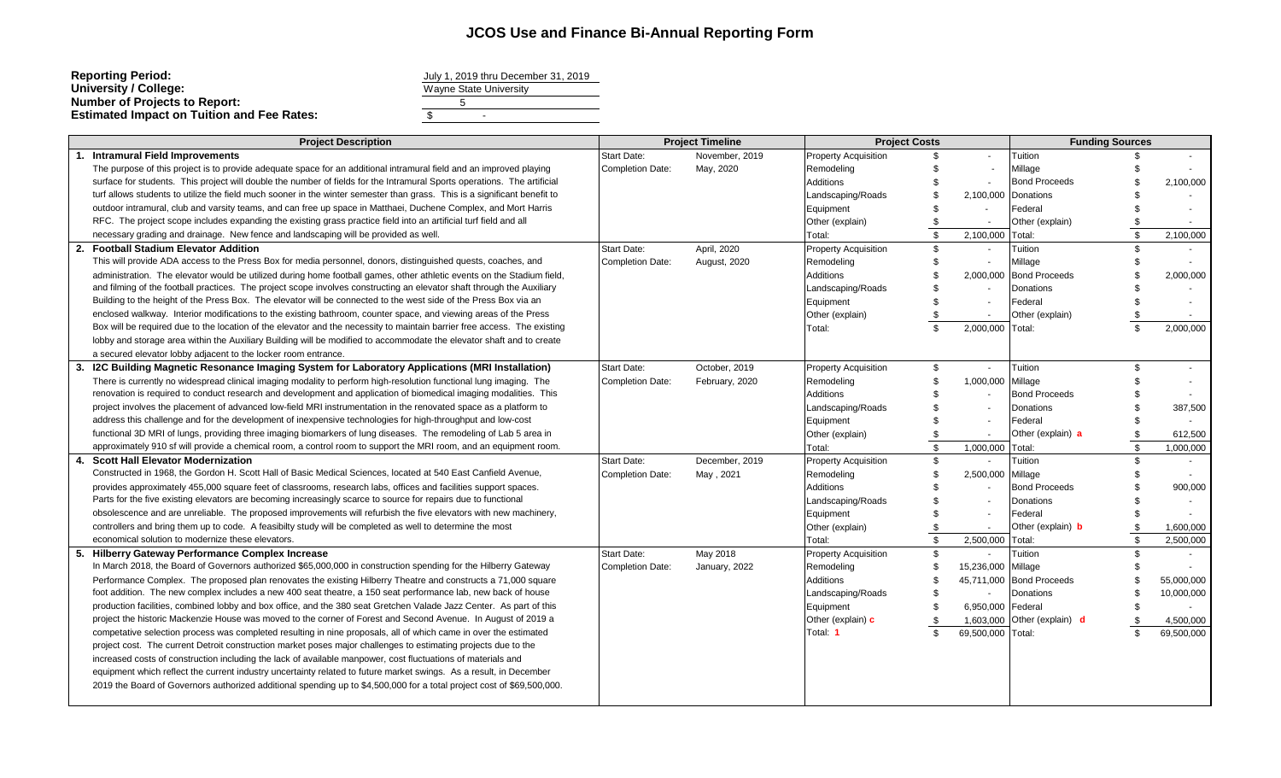## **JCOS Use and Finance Bi-Annual Reporting Form**

| July 1, 2019 thru December 31, 2019 |
|-------------------------------------|
| Wayne State University              |
|                                     |
| $\sim$                              |
|                                     |

| <b>Project Description</b>                                                                                                | <b>Project Timeline</b> |                |                             |                |                          | <b>Project Costs</b>        |                |            | <b>Funding Sources</b> |  |
|---------------------------------------------------------------------------------------------------------------------------|-------------------------|----------------|-----------------------------|----------------|--------------------------|-----------------------------|----------------|------------|------------------------|--|
| <b>Intramural Field Improvements</b>                                                                                      | <b>Start Date:</b>      | November, 2019 | <b>Property Acquisition</b> | S              | $\overline{\phantom{a}}$ | Tuition                     |                |            |                        |  |
| The purpose of this project is to provide adequate space for an additional intramural field and an improved playing       | <b>Completion Date:</b> | May, 2020      | Remodeling                  |                |                          | Millage                     |                |            |                        |  |
| surface for students. This project will double the number of fields for the Intramural Sports operations. The artificial  |                         |                | Additions                   |                |                          | <b>Bond Proceeds</b>        |                | 2,100,000  |                        |  |
| turf allows students to utilize the field much sooner in the winter semester than grass. This is a significant benefit to |                         |                | Landscaping/Roads           | Ŝ.             | 2,100,000                | Donations                   |                |            |                        |  |
| outdoor intramural, club and varsity teams, and can free up space in Matthaei, Duchene Complex, and Mort Harris           |                         |                | Equipment                   | Ŝ.             |                          | Federal                     |                |            |                        |  |
| RFC. The project scope includes expanding the existing grass practice field into an artificial turf field and all         |                         |                | Other (explain)             | \$             |                          | Other (explain)             |                |            |                        |  |
| necessary grading and drainage. New fence and landscaping will be provided as well.                                       |                         |                | Total:                      | \$             | 2,100,000                | Total:                      | $\mathfrak{L}$ | 2,100,000  |                        |  |
| 2.<br><b>Football Stadium Elevator Addition</b>                                                                           | <b>Start Date:</b>      | April, 2020    | <b>Property Acquisition</b> | \$             | $\overline{\phantom{a}}$ | Tuition                     |                |            |                        |  |
| This will provide ADA access to the Press Box for media personnel, donors, distinguished quests, coaches, and             | <b>Completion Date:</b> | August, 2020   | Remodeling                  | \$             | $\overline{\phantom{a}}$ | Millage                     |                |            |                        |  |
| administration. The elevator would be utilized during home football games, other athletic events on the Stadium field,    |                         |                | Additions                   | £.             | 2,000,000                | <b>Bond Proceeds</b>        |                | 2,000,000  |                        |  |
| and filming of the football practices. The project scope involves constructing an elevator shaft through the Auxiliary    |                         |                | Landscaping/Roads           | -S             |                          | Donations                   |                |            |                        |  |
| Building to the height of the Press Box. The elevator will be connected to the west side of the Press Box via an          |                         |                | Equipment                   | \$             |                          | Federal                     |                |            |                        |  |
| enclosed walkway. Interior modifications to the existing bathroom, counter space, and viewing areas of the Press          |                         |                | Other (explain)             | \$             |                          | Other (explain)             |                |            |                        |  |
| Box will be required due to the location of the elevator and the necessity to maintain barrier free access. The existing  |                         |                | Total:                      | $\mathfrak{s}$ | 2,000,000                | Total:                      | $\mathfrak{L}$ | 2,000,000  |                        |  |
| lobby and storage area within the Auxiliary Building will be modified to accommodate the elevator shaft and to create     |                         |                |                             |                |                          |                             |                |            |                        |  |
| a secured elevator lobby adjacent to the locker room entrance.                                                            |                         |                |                             |                |                          |                             |                |            |                        |  |
| I2C Building Magnetic Resonance Imaging System for Laboratory Applications (MRI Installation)<br>3                        | <b>Start Date:</b>      | October, 2019  | <b>Property Acquisition</b> | \$.            | $\overline{\phantom{a}}$ | Tuition                     | $\mathfrak{L}$ |            |                        |  |
| There is currently no widespread clinical imaging modality to perform high-resolution functional lung imaging. The        | <b>Completion Date:</b> | February, 2020 | Remodeling                  | \$             | 1,000,000                | Millage                     |                |            |                        |  |
| renovation is required to conduct research and development and application of biomedical imaging modalities. This         |                         |                | Additions                   |                |                          | <b>Bond Proceeds</b>        |                |            |                        |  |
| project involves the placement of advanced low-field MRI instrumentation in the renovated space as a platform to          |                         |                | Landscaping/Roads           |                |                          | Donations                   |                | 387,500    |                        |  |
| address this challenge and for the development of inexpensive technologies for high-throughput and low-cost               |                         |                | Equipment                   |                |                          | Federal                     |                |            |                        |  |
| functional 3D MRI of lungs, providing three imaging biomarkers of lung diseases. The remodeling of Lab 5 area in          |                         |                | Other (explain)             | - \$           | $\blacksquare$           | Other (explain) a           |                | 612,500    |                        |  |
| approximately 910 sf will provide a chemical room, a control room to support the MRI room, and an equipment room.         |                         |                | Total:                      | \$             | 1,000,000                | Total:                      | \$             | 1,000,000  |                        |  |
| <b>Scott Hall Elevator Modernization</b><br>4.                                                                            | <b>Start Date:</b>      | December, 2019 | <b>Property Acquisition</b> | \$             | $\overline{a}$           | Tuition                     | $\mathfrak{L}$ |            |                        |  |
| Constructed in 1968, the Gordon H. Scott Hall of Basic Medical Sciences, located at 540 East Canfield Avenue,             | <b>Completion Date:</b> | May, 2021      | Remodeling                  | \$             | 2,500,000                | Millage                     |                |            |                        |  |
| provides approximately 455,000 square feet of classrooms, research labs, offices and facilities support spaces.           |                         |                | Additions                   |                |                          | <b>Bond Proceeds</b>        |                | 900,000    |                        |  |
| Parts for the five existing elevators are becoming increasingly scarce to source for repairs due to functional            |                         |                | Landscaping/Roads           |                |                          | Donations                   |                |            |                        |  |
| obsolescence and are unreliable. The proposed improvements will refurbish the five elevators with new machinery,          |                         |                | Equipment                   |                |                          | Federal                     |                |            |                        |  |
| controllers and bring them up to code. A feasibilty study will be completed as well to determine the most                 |                         |                | Other (explain)             | \$             |                          | Other (explain) <b>b</b>    |                | 1,600,000  |                        |  |
| economical solution to modernize these elevators.                                                                         |                         |                | Total:                      | $\mathfrak{s}$ | 2,500,000                | Total:                      | $\mathcal{L}$  | 2,500,000  |                        |  |
| 5.<br><b>Hilberry Gateway Performance Complex Increase</b>                                                                | <b>Start Date:</b>      | May 2018       | <b>Property Acquisition</b> | \$             | $\sim$                   | Tuition                     |                |            |                        |  |
| In March 2018, the Board of Governors authorized \$65,000,000 in construction spending for the Hilberry Gateway           | <b>Completion Date:</b> | January, 2022  | Remodeling                  | \$             | 15,236,000               | Millage                     |                |            |                        |  |
| Performance Complex. The proposed plan renovates the existing Hilberry Theatre and constructs a 71,000 square             |                         |                | Additions                   | $\mathbf{S}$   | 45,711,000               | <b>Bond Proceeds</b>        |                | 55,000,000 |                        |  |
| foot addition. The new complex includes a new 400 seat theatre, a 150 seat performance lab, new back of house             |                         |                | Landscaping/Roads           | $\mathfrak{S}$ |                          | Donations                   |                | 10,000,000 |                        |  |
| production facilities, combined lobby and box office, and the 380 seat Gretchen Valade Jazz Center. As part of this       |                         |                | Equipment                   | $\mathfrak{s}$ | 6,950,000                | Federal                     |                |            |                        |  |
| project the historic Mackenzie House was moved to the corner of Forest and Second Avenue. In August of 2019 a             |                         |                | Other (explain) c           | \$             |                          | 1,603,000 Other (explain) d |                | 4,500,000  |                        |  |
| competative selection process was completed resulting in nine proposals, all of which came in over the estimated          |                         |                | Total: 1                    | $\mathfrak{s}$ | 69,500,000 Total:        |                             |                | 69,500,000 |                        |  |
| project cost. The current Detroit construction market poses major challenges to estimating projects due to the            |                         |                |                             |                |                          |                             |                |            |                        |  |
| increased costs of construction including the lack of available manpower, cost fluctuations of materials and              |                         |                |                             |                |                          |                             |                |            |                        |  |
| equipment which reflect the current industry uncertainty related to future market swings. As a result, in December        |                         |                |                             |                |                          |                             |                |            |                        |  |
| 2019 the Board of Governors authorized additional spending up to \$4,500,000 for a total project cost of \$69,500,000.    |                         |                |                             |                |                          |                             |                |            |                        |  |
|                                                                                                                           |                         |                |                             |                |                          |                             |                |            |                        |  |